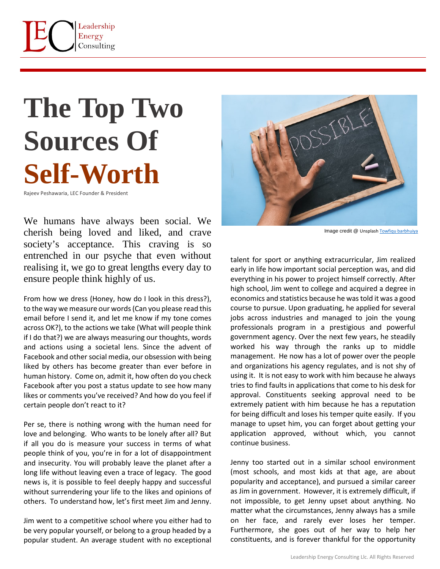

## **The Top Two Sources Of Self-Worth**

Rajeev Peshawaria, LEC Founder & President

We humans have always been social. We cherish being loved and liked, and crave society's acceptance. This craving is so entrenched in our psyche that even without realising it, we go to great lengths every day to ensure people think highly of us.

From how we dress (Honey, how do I look in this dress?), to the way we measure our words (Can you please read this email before I send it, and let me know if my tone comes across OK?), to the actions we take (What will people think if I do that?) we are always measuring our thoughts, words and actions using a societal lens. Since the advent of Facebook and other social media, our obsession with being liked by others has become greater than ever before in human history. Come on, admit it, how often do you check Facebook after you post a status update to see how many likes or comments you've received? And how do you feel if certain people don't react to it?

Per se, there is nothing wrong with the human need for love and belonging. Who wants to be lonely after all? But if all you do is measure your success in terms of what people think of you, you're in for a lot of disappointment and insecurity. You will probably leave the planet after a long life without leaving even a trace of legacy. The good news is, it is possible to feel deeply happy and successful without surrendering your life to the likes and opinions of others. To understand how, let's first meet Jim and Jenny.

Jim went to a competitive school where you either had to be very popular yourself, or belong to a group headed by a popular student. An average student with no exceptional



Image credit @ [Unsplash](https://unsplash.com/s/photos/remote-working?utm_source=unsplash&utm_medium=referral&utm_content=creditCopyText) [Towfiqu barbhuiya](https://unsplash.com/photos/Jxi526YIQgA)

talent for sport or anything extracurricular, Jim realized early in life how important social perception was, and did everything in his power to project himself correctly. After high school, Jim went to college and acquired a degree in economics and statistics because he was told it was a good course to pursue. Upon graduating, he applied for several jobs across industries and managed to join the young professionals program in a prestigious and powerful government agency. Over the next few years, he steadily worked his way through the ranks up to middle management. He now has a lot of power over the people and organizations his agency regulates, and is not shy of using it. It is not easy to work with him because he always tries to find faults in applications that come to his desk for approval. Constituents seeking approval need to be extremely patient with him because he has a reputation for being difficult and loses his temper quite easily. If you manage to upset him, you can forget about getting your application approved, without which, you cannot continue business.

Jenny too started out in a similar school environment (most schools, and most kids at that age, are about popularity and acceptance), and pursued a similar career as Jim in government. However, it is extremely difficult, if not impossible, to get Jenny upset about anything. No matter what the circumstances, Jenny always has a smile on her face, and rarely ever loses her temper. Furthermore, she goes out of her way to help her constituents, and is forever thankful for the opportunity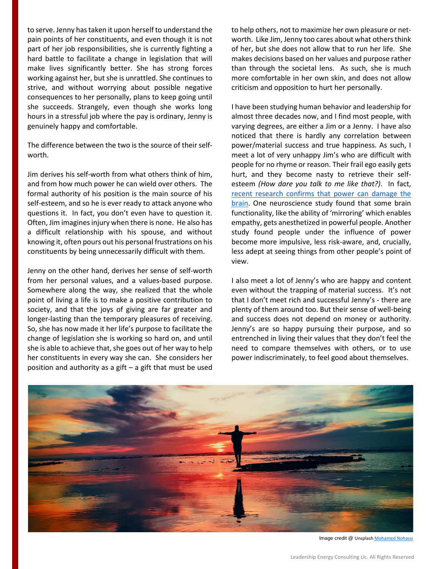to serve. Jenny has taken it upon herself to understand the pain points of her constituents, and even though it is not part of her job responsibilities, she is currently fighting a hard battle to facilitate a change in legislation that will make lives significantly better. She has strong forces working against her, but she is unrattled. She continues to strive, and without worrying about possible negative consequences to her personally, plans to keep going until she succeeds. Strangely, even though she works long hours in a stressful job where the pay is ordinary, Jenny is genuinely happy and comfortable.

The difference between the two is the source of their selfworth.

Jim derives his self-worth from what others think of him, and from how much power he can wield over others. The formal authority of his position is the main source of his self-esteem, and so he is ever ready to attack anyone who questions it. In fact, you don't even have to question it. Often, Jim imagines injury when there is none. He also has a difficult relationship with his spouse, and without knowing it, often pours out his personal frustrations on his constituents by being unnecessarily difficult with them.

Jenny on the other hand, derives her sense of self-worth from her personal values, and a values-based purpose. Somewhere along the way, she realized that the whole point of living a life is to make a positive contribution to society, and that the joys of giving are far greater and longer-lasting than the temporary pleasures of receiving. So, she has now made it her life's purpose to facilitate the change of legislation she is working so hard on, and until she is able to achieve that, she goes out of her way to help her constituents in every way she can. She considers her position and authority as a gift – a gift that must be used to help others, not to maximize her own pleasure or networth. Like Jim, Jenny too cares about what others think of her, but she does not allow that to run her life. She makes decisions based on her values and purpose rather than through the societal lens. As such, she is much more comfortable in her own skin, and does not allow criticism and opposition to hurt her personally.

I have been studying human behavior and leadership for almost three decades now, and I find most people, with varying degrees, are either a Jim or a Jenny. I have also noticed that there is hardly any correlation between power/material success and true happiness. As such, I meet a lot of very unhappy Jim's who are difficult with people for no rhyme or reason. Their frail ego easily gets hurt, and they become nasty to retrieve their selfesteem *(How dare you talk to me like that?)*. In fact, [recent research confirms that power can damage the](https://www.theatlantic.com/magazine/archive/2017/07/power-causes-brain-damage/528711/)  [brain.](https://www.theatlantic.com/magazine/archive/2017/07/power-causes-brain-damage/528711/) One neuroscience study found that some brain functionality, like the ability of 'mirroring' which enables empathy, gets anesthetized in powerful people. Another study found people under the influence of power become more impulsive, less risk-aware, and, crucially, less adept at seeing things from other people's point of view.

I also meet a lot of Jenny's who are happy and content even without the trapping of material success. It's not that I don't meet rich and successful Jenny's - there are plenty of them around too. But their sense of well-being and success does not depend on money or authority. Jenny's are so happy pursuing their purpose, and so entrenched in living their values that they don't feel the need to compare themselves with others, or to use power indiscriminately, to feel good about themselves.



Image credit @ [Unsplash](https://unsplash.com/s/photos/remote-working?utm_source=unsplash&utm_medium=referral&utm_content=creditCopyText) [Mohamed Nohassi](https://unsplash.com/photos/odxB5oIG_iA)